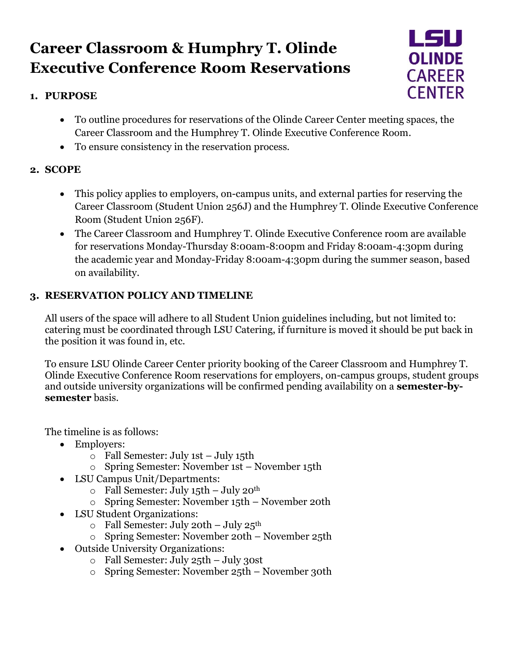# **Career Classroom & Humphry T. Olinde Executive Conference Room Reservations**

## **1. PURPOSE**



- To outline procedures for reservations of the Olinde Career Center meeting spaces, the Career Classroom and the Humphrey T. Olinde Executive Conference Room.
- To ensure consistency in the reservation process.

### **2. SCOPE**

- This policy applies to employers, on-campus units, and external parties for reserving the Career Classroom (Student Union 256J) and the Humphrey T. Olinde Executive Conference Room (Student Union 256F).
- The Career Classroom and Humphrey T. Olinde Executive Conference room are available for reservations Monday-Thursday 8:00am-8:00pm and Friday 8:00am-4:30pm during the academic year and Monday-Friday 8:00am-4:30pm during the summer season, based on availability.

## **3. RESERVATION POLICY AND TIMELINE**

All users of the space will adhere to all Student Union guidelines including, but not limited to: catering must be coordinated through LSU Catering, if furniture is moved it should be put back in the position it was found in, etc.

To ensure LSU Olinde Career Center priority booking of the Career Classroom and Humphrey T. Olinde Executive Conference Room reservations for employers, on-campus groups, student groups and outside university organizations will be confirmed pending availability on a **semester-bysemester** basis.

The timeline is as follows:

- Employers:
	- o Fall Semester: July 1st July 15th
	- o Spring Semester: November 1st November 15th
- LSU Campus Unit/Departments:
	- $\circ$  Fall Semester: July 15th July 20<sup>th</sup>
	- o Spring Semester: November 15th November 20th
- LSU Student Organizations:
	- $\circ$  Fall Semester: July 20th July 25<sup>th</sup>
	- o Spring Semester: November 20th November 25th
- Outside University Organizations:
	- o Fall Semester: July 25th July 30st
	- o Spring Semester: November 25th November 30th